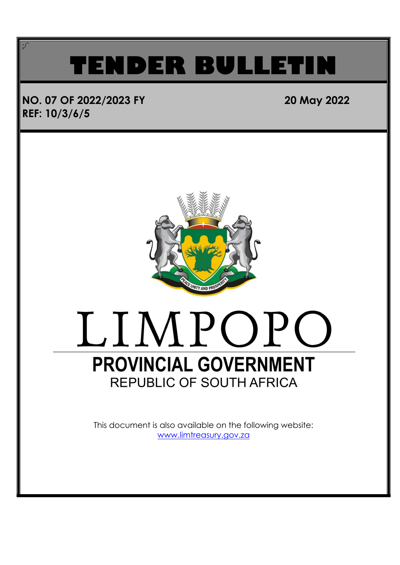## **TENDER BULLET**

### **NO. 07 OF 2022/2023 FY 20 May 2022 REF: 10/3/6/5**

;/`



## LIMPOPO **PROVINCIAL GOVERNMENT REPUBLIC OF SOUTH AFRICA**

This document is also available on the following website: [www.limtreasury.gov.za](http://www.limtreasury.gov.za/)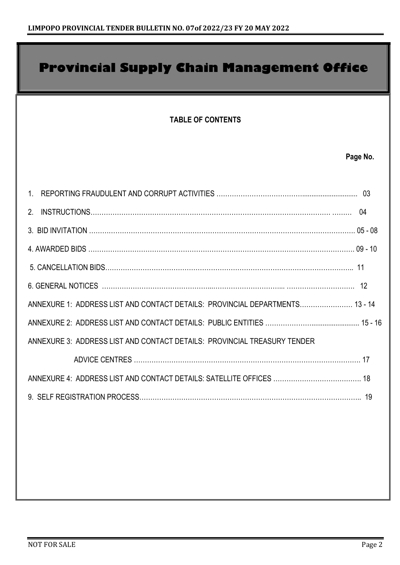## **TABLE OF CONTENTS Page No.** 1. REPORTING FRAUDULENT AND CORRUPT ACTIVITIES ………………………………….............................. 03 2. INSTRUCTIONS………………………………………………………………………………………………. ……… 04 3. BID INVITATION …………………………………………………………………………………………………………. 05 - 08 4. AWARDED BIDS …………………………………………………………………………………………………………. 09 - 10 5. CANCELLATION BIDS………………………………………………………………………………………………….. 11 6. GENERAL NOTICES …………………………………………...…………………………... …………………………. 12 ANNEXURE 1: ADDRESS LIST AND CONTACT DETAILS: PROVINCIAL DEPARTMENTS…………………… 13 - 14 ANNEXURE 2: ADDRESS LIST AND CONTACT DETAILS: PUBLIC ENTITIES ………………….......................... 15 - 16 ANNEXURE 3: ADDRESS LIST AND CONTACT DETAILS: PROVINCIAL TREASURY TENDER ADVICE CENTRES …………………………………………………………………………………………. 17 ANNEXURE 4: ADDRESS LIST AND CONTACT DETAILS: SATELLITE OFFICES …………………………………. 18 9. SELF REGISTRATION PROCESS……………………………………………………………………………………….. 19 **Provincial Supply Chain Management Office**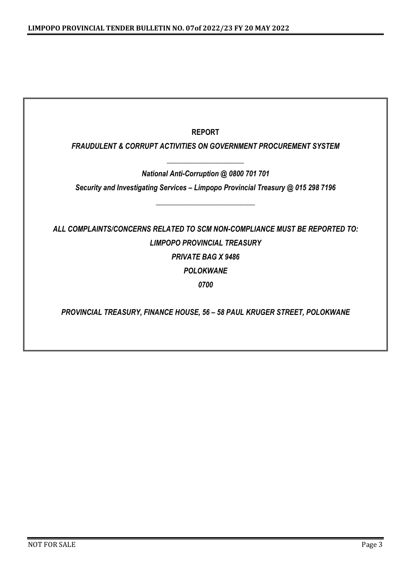| <b>REPORT</b>                                                                    |
|----------------------------------------------------------------------------------|
| <b>FRAUDULENT &amp; CORRUPT ACTIVITIES ON GOVERNMENT PROCUREMENT SYSTEM</b>      |
| National Anti-Corruption @ 0800 701 701                                          |
| Security and Investigating Services - Limpopo Provincial Treasury @ 015 298 7196 |
|                                                                                  |
| ALL COMPLAINTS/CONCERNS RELATED TO SCM NON-COMPLIANCE MUST BE REPORTED TO:       |
| <b>LIMPOPO PROVINCIAL TREASURY</b>                                               |
| <b>PRIVATE BAG X 9486</b>                                                        |
| <b>POLOKWANE</b>                                                                 |
| 0700                                                                             |
|                                                                                  |
| PROVINCIAL TREASURY, FINANCE HOUSE, 56 - 58 PAUL KRUGER STREET, POLOKWANE        |
|                                                                                  |
|                                                                                  |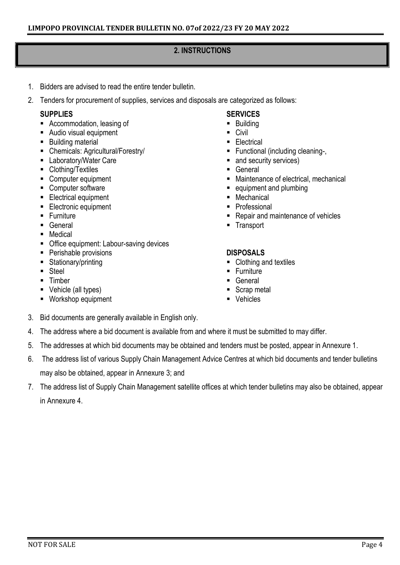#### **2. INSTRUCTIONS**

- 1. Bidders are advised to read the entire tender bulletin.
- 2. Tenders for procurement of supplies, services and disposals are categorized as follows:

#### **SUPPLIES**

- Accommodation, leasing of
- Audio visual equipment
- Building material
- Chemicals: Agricultural/Forestry/
- Laboratory/Water Care
- Clothing/Textiles
- Computer equipment
- Computer software
- **Electrical equipment**
- Electronic equipment
- Furniture
- General
- Medical
- Office equipment: Labour-saving devices
- Perishable provisions
- Stationary/printing
- Steel
- Timber
- Vehicle (all types)
- Workshop equipment

#### **SERVICES**

- Building
- Civil
- Electrical
- Functional (including cleaning-,
- and security services)
- General
- Maintenance of electrical, mechanical
- equipment and plumbing
- Mechanical
- Professional
- Repair and maintenance of vehicles
- Transport

#### **DISPOSALS**

- Clothing and textiles
- **Eurniture**
- General
- Scrap metal
- Vehicles
- 3. Bid documents are generally available in English only.
- 4. The address where a bid document is available from and where it must be submitted to may differ.
- 5. The addresses at which bid documents may be obtained and tenders must be posted, appear in Annexure 1.
- 6. The address list of various Supply Chain Management Advice Centres at which bid documents and tender bulletins may also be obtained, appear in Annexure 3; and
- 7. The address list of Supply Chain Management satellite offices at which tender bulletins may also be obtained, appear in Annexure 4.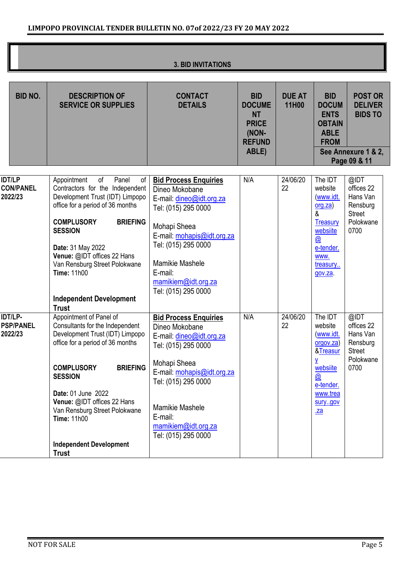|  |  | <b>3. BID INVITATIONS</b> |
|--|--|---------------------------|
|--|--|---------------------------|

| <b>BID NO.</b>                               | <b>DESCRIPTION OF</b><br><b>SERVICE OR SUPPLIES</b>                                                                                                                                                                                                                                                                                                               | <b>CONTACT</b><br><b>DETAILS</b>                                                                                                                                                                                                                          | <b>BID</b><br><b>DOCUME</b><br><b>NT</b><br><b>PRICE</b><br>(NON-<br><b>REFUND</b><br>ABLE) | <b>DUE AT</b><br>11H00 | <b>BID</b><br><b>DOCUM</b><br><b>ENTS</b><br><b>OBTAIN</b><br><b>ABLE</b><br><b>FROM</b>                                        | <b>POST OR</b><br><b>DELIVER</b><br><b>BIDS TO</b><br>See Annexure 1 & 2,<br>Page 09 & 11 |
|----------------------------------------------|-------------------------------------------------------------------------------------------------------------------------------------------------------------------------------------------------------------------------------------------------------------------------------------------------------------------------------------------------------------------|-----------------------------------------------------------------------------------------------------------------------------------------------------------------------------------------------------------------------------------------------------------|---------------------------------------------------------------------------------------------|------------------------|---------------------------------------------------------------------------------------------------------------------------------|-------------------------------------------------------------------------------------------|
| <b>IDT/LP</b><br><b>CON/PANEL</b><br>2022/23 | Appointment<br>of<br>Panel<br>οf<br>Contractors for the Independent<br>Development Trust (IDT) Limpopo<br>office for a period of 36 months<br><b>COMPLUSORY</b><br><b>BRIEFING</b><br><b>SESSION</b><br>Date: 31 May 2022<br>Venue: @IDT offices 22 Hans<br>Van Rensburg Street Polokwane<br><b>Time: 11h00</b><br><b>Independent Development</b><br><b>Trust</b> | <b>Bid Process Enquiries</b><br>Dineo Mokobane<br>E-mail: dineo@idt.org.za<br>Tel: (015) 295 0000<br>Mohapi Sheea<br>E-mail: mohapis@idt.org.za<br>Tel: (015) 295 0000<br><b>Mamikie Mashele</b><br>E-mail:<br>mamikiem@idt.org.za<br>Tel: (015) 295 0000 | N/A                                                                                         | 24/06/20<br>22         | The IDT<br>website<br>(www.idt.<br>org.za)<br>&<br><b>Treasury</b><br>websiite<br>@<br>e-tender.<br>WWW.<br>treasury<br>gov.za. | @IDT<br>offices 22<br>Hans Van<br>Rensburg<br><b>Street</b><br>Polokwane<br>0700          |
| IDT/LP-<br><b>PSP/PANEL</b><br>2022/23       | Appointment of Panel of<br>Consultants for the Independent<br>Development Trust (IDT) Limpopo<br>office for a period of 36 months<br><b>BRIEFING</b><br><b>COMPLUSORY</b><br><b>SESSION</b><br>Date: 01 June 2022<br>Venue: @IDT offices 22 Hans<br>Van Rensburg Street Polokwane<br><b>Time: 11h00</b><br><b>Independent Development</b><br><b>Trust</b>         | <b>Bid Process Enquiries</b><br>Dineo Mokobane<br>E-mail: dineo@idt.org.za<br>Tel: (015) 295 0000<br>Mohapi Sheea<br>E-mail: mohapis@idt.org.za<br>Tel: (015) 295 0000<br><b>Mamikie Mashele</b><br>E-mail:<br>mamikiem@idt.org.za<br>Tel: (015) 295 0000 | N/A                                                                                         | 24/06/20<br>22         | The IDT<br>website<br>(www.idt.<br>orgov.za)<br>&Treasur<br>٧<br>websiite<br><u>w</u><br>e-tender.<br>www.trea<br>surygov<br>2a | @IDT<br>offices 22<br>Hans Van<br>Rensburg<br><b>Street</b><br>Polokwane<br>0700          |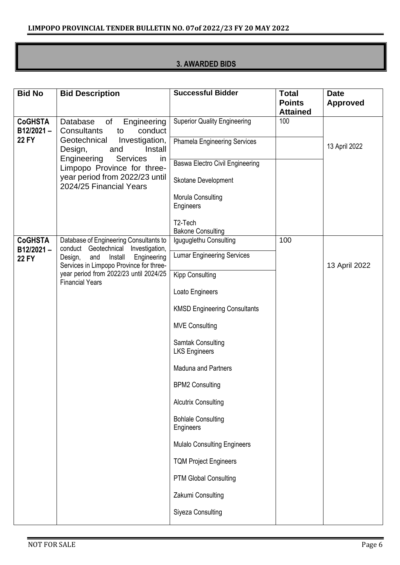#### **3. AWARDED BIDS**

| <b>Bid No</b>                  | <b>Bid Description</b>                                                                                                                                  | <b>Successful Bidder</b>                                    | <b>Total</b><br><b>Points</b><br><b>Attained</b> | <b>Date</b><br><b>Approved</b> |
|--------------------------------|---------------------------------------------------------------------------------------------------------------------------------------------------------|-------------------------------------------------------------|--------------------------------------------------|--------------------------------|
| <b>CoGHSTA</b><br>$B12/2021 -$ | Database<br>of<br>Engineering<br><b>Consultants</b><br>conduct<br>to                                                                                    | <b>Superior Quality Engineering</b>                         | 100                                              |                                |
| <b>22 FY</b>                   | Geotechnical<br>Investigation,<br>Design,<br>and<br>Install<br>Services<br>Engineering<br><i>in</i>                                                     | <b>Phamela Engineering Services</b>                         |                                                  | 13 April 2022                  |
|                                | Limpopo Province for three-<br>year period from 2022/23 until                                                                                           | <b>Baswa Electro Civil Engineering</b>                      |                                                  |                                |
|                                | 2024/25 Financial Years                                                                                                                                 | Skotane Development<br>Morula Consulting                    |                                                  |                                |
|                                |                                                                                                                                                         | Engineers                                                   |                                                  |                                |
|                                |                                                                                                                                                         | T2-Tech<br><b>Bakone Consulting</b>                         |                                                  |                                |
| <b>CoGHSTA</b><br>B12/2021-    | Database of Engineering Consultants to<br>conduct Geotechnical<br>Investigation,                                                                        | Iguguglethu Consulting<br><b>Lumar Engineering Services</b> | 100                                              |                                |
| <b>22 FY</b>                   | Engineering<br>and<br>Install<br>Design,<br>Services in Limpopo Province for three-<br>year period from 2022/23 until 2024/25<br><b>Financial Years</b> |                                                             |                                                  | 13 April 2022                  |
|                                |                                                                                                                                                         | <b>Kipp Consulting</b>                                      |                                                  |                                |
|                                |                                                                                                                                                         | Loato Engineers                                             |                                                  |                                |
|                                |                                                                                                                                                         | <b>KMSD Engineering Consultants</b>                         |                                                  |                                |
|                                |                                                                                                                                                         | <b>MVE Consulting</b>                                       |                                                  |                                |
|                                |                                                                                                                                                         | Samtak Consulting<br><b>LKS Engineers</b>                   |                                                  |                                |
|                                |                                                                                                                                                         | <b>Maduna and Partners</b>                                  |                                                  |                                |
|                                |                                                                                                                                                         | <b>BPM2 Consulting</b>                                      |                                                  |                                |
|                                |                                                                                                                                                         | <b>Alcutrix Consulting</b>                                  |                                                  |                                |
|                                |                                                                                                                                                         | <b>Bohlale Consulting</b><br>Engineers                      |                                                  |                                |
|                                |                                                                                                                                                         | <b>Mulalo Consulting Engineers</b>                          |                                                  |                                |
|                                |                                                                                                                                                         | <b>TQM Project Engineers</b>                                |                                                  |                                |
|                                |                                                                                                                                                         | <b>PTM Global Consulting</b>                                |                                                  |                                |
|                                |                                                                                                                                                         | Zakumi Consulting                                           |                                                  |                                |
|                                |                                                                                                                                                         | Siyeza Consulting                                           |                                                  |                                |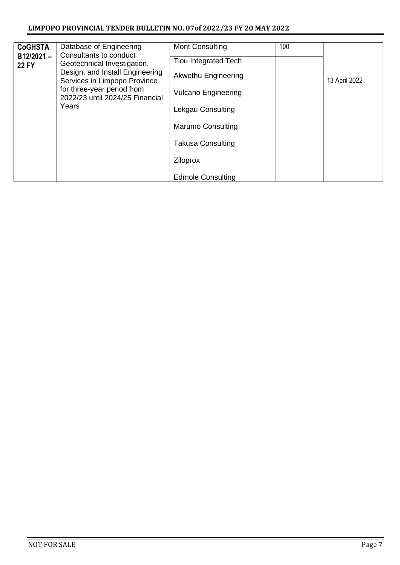#### **LIMPOPO PROVINCIAL TENDER BULLETIN NO. 07of 2022/23 FY 20 MAY 2022**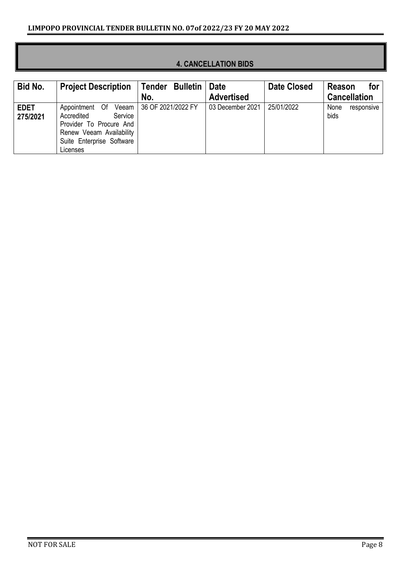| Bid No.                 | <b>Project Description</b>                                                                                                              | Tender Bulletin            | Date              | <b>Date Closed</b> | <b>Reason</b><br>for       |
|-------------------------|-----------------------------------------------------------------------------------------------------------------------------------------|----------------------------|-------------------|--------------------|----------------------------|
|                         |                                                                                                                                         | No.                        | <b>Advertised</b> |                    | <b>Cancellation</b>        |
| <b>EDET</b><br>275/2021 | Appointment Of<br>Service<br>Accredited<br>Provider To Procure And<br>Renew Veeam Availability<br>Suite Enterprise Software<br>Licenses | Veeam   36 OF 2021/2022 FY | 03 December 2021  | 25/01/2022         | None<br>responsive<br>bids |

#### **4. CANCELLATION BIDS**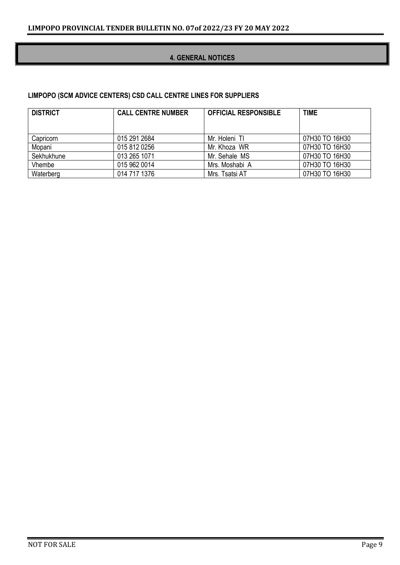#### **4. GENERAL NOTICES**

#### **LIMPOPO (SCM ADVICE CENTERS) CSD CALL CENTRE LINES FOR SUPPLIERS**

| <b>DISTRICT</b> | <b>CALL CENTRE NUMBER</b> | <b>OFFICIAL RESPONSIBLE</b> | <b>TIME</b>    |
|-----------------|---------------------------|-----------------------------|----------------|
|                 |                           |                             |                |
| Capricorn       | 015 291 2684              | Mr. Holeni TI               | 07H30 TO 16H30 |
| Mopani          | 015 812 0256              | Mr. Khoza WR                | 07H30 TO 16H30 |
| Sekhukhune      | 013 265 1071              | Mr. Sehale MS               | 07H30 TO 16H30 |
| Vhembe          | 015 962 0014              | Mrs. Moshabi A              | 07H30 TO 16H30 |
| Waterberg       | 014 717 1376              | Mrs. Tsatsi AT              | 07H30 TO 16H30 |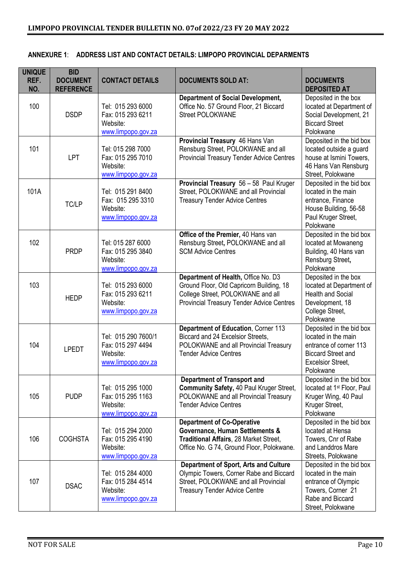| <b>UNIQUE</b><br>REF.<br>NO. | <b>BID</b><br><b>DOCUMENT</b><br><b>REFERENCE</b> | <b>CONTACT DETAILS</b>                                                     | <b>DOCUMENTS SOLD AT:</b>                                                                                                                                                | <b>DOCUMENTS</b><br><b>DEPOSITED AT</b>                                                                                                         |
|------------------------------|---------------------------------------------------|----------------------------------------------------------------------------|--------------------------------------------------------------------------------------------------------------------------------------------------------------------------|-------------------------------------------------------------------------------------------------------------------------------------------------|
| 100                          | <b>DSDP</b>                                       | Tel: 015 293 6000<br>Fax: 015 293 6211<br>Website:<br>www.limpopo.gov.za   | <b>Department of Social Development,</b><br>Office No. 57 Ground Floor, 21 Biccard<br><b>Street POLOKWANE</b>                                                            | Deposited in the box<br>located at Department of<br>Social Development, 21<br><b>Biccard Street</b><br>Polokwane                                |
| 101                          | <b>LPT</b>                                        | Tel: 015 298 7000<br>Fax: 015 295 7010<br>Website:<br>www.limpopo.gov.za   | Provincial Treasury 46 Hans Van<br>Rensburg Street, POLOKWANE and all<br><b>Provincial Treasury Tender Advice Centres</b>                                                | Deposited in the bid box<br>located outside a guard<br>house at Ismini Towers,<br>46 Hans Van Rensburg<br>Street, Polokwane                     |
| 101A                         | TC/LP                                             | Tel: 015 291 8400<br>Fax: 015 295 3310<br>Website:<br>www.limpopo.gov.za   | Provincial Treasury 56 - 58 Paul Kruger<br>Street, POLOKWANE and all Provincial<br><b>Treasury Tender Advice Centres</b>                                                 | Deposited in the bid box<br>located in the main<br>entrance, Finance<br>House Building, 56-58<br>Paul Kruger Street,<br>Polokwane               |
| 102                          | <b>PRDP</b>                                       | Tel: 015 287 6000<br>Fax: 015 295 3840<br>Website:<br>www.limpopo.gov.za   | Office of the Premier, 40 Hans van<br>Rensburg Street, POLOKWANE and all<br><b>SCM Advice Centres</b>                                                                    | Deposited in the bid box<br>located at Mowaneng<br>Building, 40 Hans van<br>Rensburg Street,<br>Polokwane                                       |
| 103                          | <b>HEDP</b>                                       | Tel: 015 293 6000<br>Fax: 015 293 6211<br>Website:<br>www.limpopo.gov.za   | Department of Health, Office No. D3<br>Ground Floor, Old Capricorn Building, 18<br>College Street, POLOKWANE and all<br><b>Provincial Treasury Tender Advice Centres</b> | Deposited in the box<br>located at Department of<br><b>Health and Social</b><br>Development, 18<br>College Street,<br>Polokwane                 |
| 104                          | <b>LPEDT</b>                                      | Tel: 015 290 7600/1<br>Fax: 015 297 4494<br>Website:<br>www.limpopo.gov.za | Department of Education, Corner 113<br>Biccard and 24 Excelsior Streets,<br>POLOKWANE and all Provincial Treasury<br><b>Tender Advice Centres</b>                        | Deposited in the bid box<br>located in the main<br>entrance of corner 113<br><b>Biccard Street and</b><br><b>Excelsior Street,</b><br>Polokwane |
| 105                          | <b>PUDP</b>                                       | Tel: 015 295 1000<br>Fax: 015 295 1163<br>Website:<br>www.limpopo.gov.za   | <b>Department of Transport and</b><br>Community Safety, 40 Paul Kruger Street,<br>POLOKWANE and all Provincial Treasury<br><b>Tender Advice Centres</b>                  | Deposited in the bid box<br>located at 1 <sup>st</sup> Floor, Paul<br>Kruger Wing, 40 Paul<br>Kruger Street,<br>Polokwane                       |
| 106                          | <b>COGHSTA</b>                                    | Tel: 015 294 2000<br>Fax: 015 295 4190<br>Website:<br>www.limpopo.gov.za   | <b>Department of Co-Operative</b><br>Governance, Human Settlements &<br>Traditional Affairs, 28 Market Street,<br>Office No. G 74, Ground Floor, Polokwane.              | Deposited in the bid box<br>located at Hensa<br>Towers, Cnr of Rabe<br>and Landdros Mare<br>Streets, Polokwane                                  |
| 107                          | <b>DSAC</b>                                       | Tel: 015 284 4000<br>Fax: 015 284 4514<br>Website:<br>www.limpopo.gov.za   | <b>Department of Sport, Arts and Culture</b><br>Olympic Towers, Corner Rabe and Biccard<br>Street, POLOKWANE and all Provincial<br><b>Treasury Tender Advice Centre</b>  | Deposited in the bid box<br>located in the main<br>entrance of Olympic<br>Towers, Corner 21<br>Rabe and Biccard<br>Street, Polokwane            |

#### **ANNEXURE 1**: **ADDRESS LIST AND CONTACT DETAILS: LIMPOPO PROVINCIAL DEPARMENTS**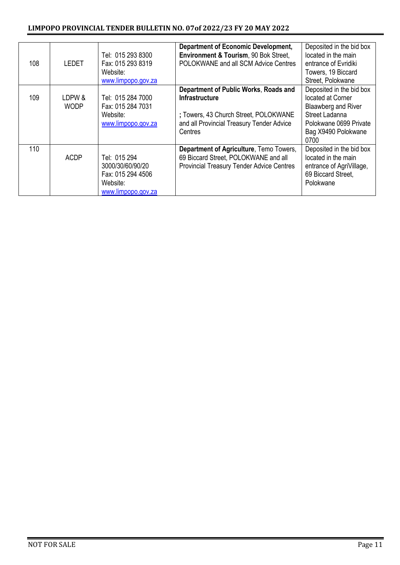| 108 | <b>LEDET</b>          | Tel: 015 293 8300<br>Fax: 015 293 8319<br>Website:<br>www.limpopo.gov.za                | <b>Department of Economic Development,</b><br>Environment & Tourism, 90 Bok Street,<br>POLOKWANE and all SCM Advice Centres                                     | Deposited in the bid box<br>located in the main<br>entrance of Evridiki<br>Towers, 19 Biccard<br>Street, Polokwane                              |
|-----|-----------------------|-----------------------------------------------------------------------------------------|-----------------------------------------------------------------------------------------------------------------------------------------------------------------|-------------------------------------------------------------------------------------------------------------------------------------------------|
| 109 | LDPW &<br><b>WODP</b> | Tel: 015 284 7000<br>Fax: 015 284 7031<br>Website:<br>www.limpopo.gov.za                | Department of Public Works, Roads and<br><b>Infrastructure</b><br>; Towers, 43 Church Street, POLOKWANE<br>and all Provincial Treasury Tender Advice<br>Centres | Deposited in the bid box<br>located at Corner<br>Blaawberg and River<br>Street Ladanna<br>Polokwane 0699 Private<br>Bag X9490 Polokwane<br>0700 |
| 110 | <b>ACDP</b>           | Tel: 015 294<br>3000/30/60/90/20<br>Fax: 015 294 4506<br>Website:<br>www.limpopo.gov.za | Department of Agriculture, Temo Towers,<br>69 Biccard Street, POLOKWANE and all<br><b>Provincial Treasury Tender Advice Centres</b>                             | Deposited in the bid box<br>located in the main<br>entrance of AgriVillage,<br>69 Biccard Street.<br>Polokwane                                  |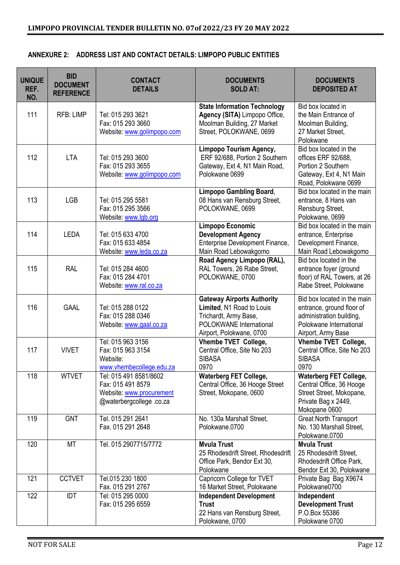| <b>UNIQUE</b><br>REF.<br>NO. | <b>BID</b><br><b>DOCUMENT</b><br><b>REFERENCE</b> | <b>CONTACT</b><br><b>DETAILS</b>                                                                   | <b>DOCUMENTS</b><br><b>SOLD AT:</b>                                                                                                            | <b>DOCUMENTS</b><br><b>DEPOSITED AT</b>                                                                                               |
|------------------------------|---------------------------------------------------|----------------------------------------------------------------------------------------------------|------------------------------------------------------------------------------------------------------------------------------------------------|---------------------------------------------------------------------------------------------------------------------------------------|
| 111                          | <b>RFB: LIMP</b>                                  | Tel: 015 293 3621<br>Fax: 015 293 3660<br>Website: www.golimpopo.com                               | <b>State Information Technology</b><br>Agency (SITA) Limpopo Office,<br>Moolman Building, 27 Market<br>Street, POLOKWANE, 0699                 | Bid box located in<br>the Main Entrance of<br>Moolman Building,<br>27 Market Street,<br>Polokwane                                     |
| 112                          | <b>LTA</b>                                        | Tel: 015 293 3600<br>Fax: 015 293 3655<br>Website: www.golimpopo.com                               | Limpopo Tourism Agency,<br>ERF 92/688, Portion 2 Southern<br>Gateway, Ext 4, N1 Main Road,<br>Polokwane 0699                                   | Bid box located in the<br>offices ERF 92/688,<br>Portion 2 Southern<br>Gateway, Ext 4, N1 Main<br>Road, Polokwane 0699                |
| 113                          | <b>LGB</b>                                        | Tel: 015 295 5581<br>Fax: 015 295 3566<br>Website: www.lgb.org                                     | <b>Limpopo Gambling Board,</b><br>08 Hans van Rensburg Street,<br>POLOKWANE, 0699                                                              | Bid box located in the main<br>entrance, 8 Hans van<br>Rensburg Street,<br>Polokwane, 0699                                            |
| 114                          | <b>LEDA</b>                                       | Tel: 015 633 4700<br>Fax: 015 633 4854<br>Website: www.leda.co.za                                  | Limpopo Economic<br><b>Development Agency</b><br>Enterprise Development Finance,<br>Main Road Lebowakgomo                                      | Bid box located in the main<br>entrance, Enterprise<br>Development Finance,<br>Main Road Lebowakgomo                                  |
| 115                          | <b>RAL</b>                                        | Tel: 015 284 4600<br>Fax: 015 284 4701<br>Website: www.ral.co.za                                   | Road Agency Limpopo (RAL),<br>RAL Towers, 26 Rabe Street,<br>POLOKWANE, 0700                                                                   | Bid box located in the<br>entrance foyer (ground<br>floor) of RAL Towers, at 26<br>Rabe Street, Polokwane                             |
| 116                          | <b>GAAL</b>                                       | Tel: 015 288 0122<br>Fax: 015 288 0346<br>Website: www.gaal.co.za                                  | <b>Gateway Airports Authority</b><br>Limited, N1 Road to Louis<br>Trichardt, Army Base,<br>POLOKWANE International<br>Airport, Polokwane, 0700 | Bid box located in the main<br>entrance, ground floor of<br>administration building,<br>Polokwane International<br>Airport, Army Base |
| 117                          | <b>VIVET</b>                                      | Tel: 015 963 3156<br>Fax: 015 963 3154<br>Website:<br>www.vhembecollege.edu.za                     | Vhembe TVET College,<br>Central Office, Site No 203<br><b>SIBASA</b><br>0970                                                                   | Vhembe TVET College,<br>Central Office, Site No 203<br><b>SIBASA</b><br>0970                                                          |
| 118                          | <b>WTVET</b>                                      | Tel: 015 491 8581/8602<br>Fax: 015 491 8579<br>Website: www.procurement<br>@waterbergcollege.co.za | <b>Waterberg FET College,</b><br>Central Office, 36 Hooge Street<br>Street, Mokopane, 0600                                                     | <b>Waterberg FET College,</b><br>Central Office, 36 Hooge<br>Street Street, Mokopane,<br>Private Bag x 2449,<br>Mokopane 0600         |
| 119                          | <b>GNT</b>                                        | Tel. 015 291 2641<br>Fax. 015 291 2648                                                             | No. 130a Marshall Street,<br>Polokwane.0700                                                                                                    | <b>Great North Transport</b><br>No. 130 Marshall Street,<br>Polokwane.0700                                                            |
| 120                          | <b>MT</b>                                         | Tel. 015 2907715/7772                                                                              | <b>Mvula Trust</b><br>25 Rhodesdrift Street, Rhodesdrift<br>Office Park, Bendor Ext 30,<br>Polokwane                                           | <b>Mvula Trust</b><br>25 Rhodesdrift Street,<br>Rhodesdrift Office Park,<br>Bendor Ext 30, Polokwane                                  |
| 121                          | <b>CCTVET</b>                                     | Tel.015 230 1800<br>Fax. 015 291 2767                                                              | Capricorn College for TVET<br>16 Market Street, Polokwane                                                                                      | Private Bag Bag X9674<br>Polokwane0700                                                                                                |
| 122                          | <b>IDT</b>                                        | Tel: 015 295 0000<br>Fax: 015 295 6559                                                             | <b>Independent Development</b><br><b>Trust</b><br>22 Hans van Rensburg Street,<br>Polokwane, 0700                                              | Independent<br><b>Development Trust</b><br>P.O.Box 55386<br>Polokwane 0700                                                            |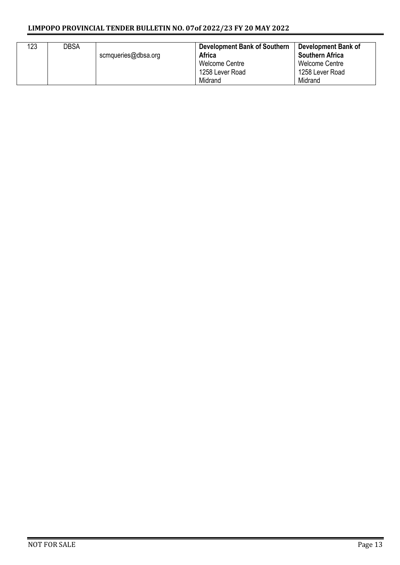#### **LIMPOPO PROVINCIAL TENDER BULLETIN NO. 07of 2022/23 FY 20 MAY 2022**

| 123 | DBSA | scmqueries@dbsa.org | <b>Development Bank of Southern</b><br><b>Africa</b><br>Welcome Centre<br>1258 Lever Road<br>Midrand | Development Bank of<br><b>Southern Africa</b><br>Welcome Centre<br>1258 Lever Road<br>Midrand |
|-----|------|---------------------|------------------------------------------------------------------------------------------------------|-----------------------------------------------------------------------------------------------|
|-----|------|---------------------|------------------------------------------------------------------------------------------------------|-----------------------------------------------------------------------------------------------|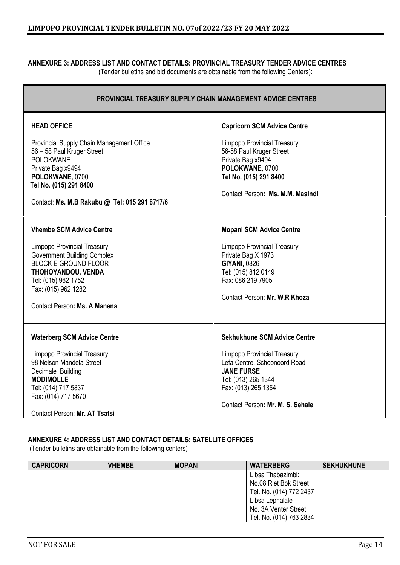#### **ANNEXURE 3: ADDRESS LIST AND CONTACT DETAILS: PROVINCIAL TREASURY TENDER ADVICE CENTRES**

(Tender bulletins and bid documents are obtainable from the following Centers):

| <b>PROVINCIAL TREASURY SUPPLY CHAIN MANAGEMENT ADVICE CENTRES</b>                                                                                                                                                                              |                                                                                                                                                                                                                  |  |  |  |
|------------------------------------------------------------------------------------------------------------------------------------------------------------------------------------------------------------------------------------------------|------------------------------------------------------------------------------------------------------------------------------------------------------------------------------------------------------------------|--|--|--|
| <b>HEAD OFFICE</b><br>Provincial Supply Chain Management Office<br>56 - 58 Paul Kruger Street<br><b>POLOKWANE</b><br>Private Bag x9494<br>POLOKWANE, 0700<br>Tel No. (015) 291 8400<br>Contact: Ms. M.B Rakubu @ Tel: 015 291 8717/6           | <b>Capricorn SCM Advice Centre</b><br><b>Limpopo Provincial Treasury</b><br>56-58 Paul Kruger Street<br>Private Bag x9494<br>POLOKWANE, 0700<br>Tel No. (015) 291 8400<br>Contact Person: Ms. M.M. Masindi       |  |  |  |
| <b>Vhembe SCM Advice Centre</b><br><b>Limpopo Provincial Treasury</b><br><b>Government Building Complex</b><br><b>BLOCK E GROUND FLOOR</b><br>THOHOYANDOU, VENDA<br>Tel: (015) 962 1752<br>Fax: (015) 962 1282<br>Contact Person: Ms. A Manena | <b>Mopani SCM Advice Centre</b><br><b>Limpopo Provincial Treasury</b><br>Private Bag X 1973<br><b>GIYANI, 0826</b><br>Tel: (015) 812 0149<br>Fax: 086 219 7905<br>Contact Person: Mr. W.R Khoza                  |  |  |  |
| <b>Waterberg SCM Advice Centre</b><br><b>Limpopo Provincial Treasury</b><br>98 Nelson Mandela Street<br>Decimale Building<br><b>MODIMOLLE</b><br>Tel: (014) 717 5837<br>Fax: (014) 717 5670<br>Contact Person: Mr. AT Tsatsi                   | <b>Sekhukhune SCM Advice Centre</b><br><b>Limpopo Provincial Treasury</b><br>Lefa Centre, Schoonoord Road<br><b>JANE FURSE</b><br>Tel: (013) 265 1344<br>Fax: (013) 265 1354<br>Contact Person: Mr. M. S. Sehale |  |  |  |

#### **ANNEXURE 4: ADDRESS LIST AND CONTACT DETAILS: SATELLITE OFFICES**

(Tender bulletins are obtainable from the following centers)

| <b>CAPRICORN</b> | <b>VHEMBE</b> | <b>MOPANI</b> | <b>WATERBERG</b>        | <b>SEKHUKHUNE</b> |
|------------------|---------------|---------------|-------------------------|-------------------|
|                  |               |               | Libsa Thabazimbi:       |                   |
|                  |               |               | No.08 Riet Bok Street   |                   |
|                  |               |               | Tel. No. (014) 772 2437 |                   |
|                  |               |               | Libsa Lephalale         |                   |
|                  |               |               | No. 3A Venter Street    |                   |
|                  |               |               | Tel. No. (014) 763 2834 |                   |